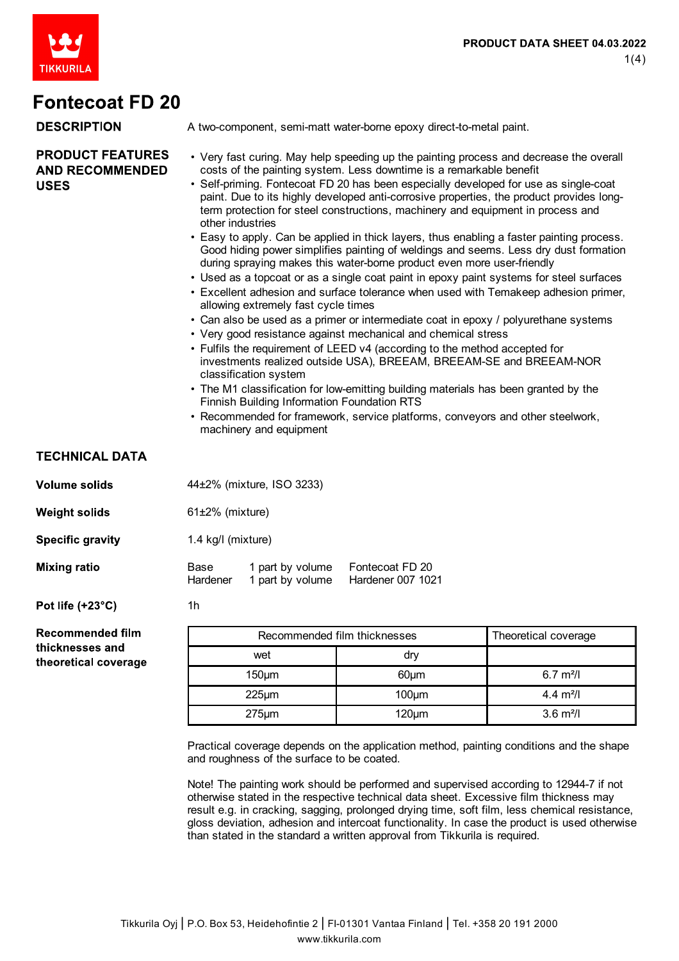

| <b>DESCRIPTION</b>                                               | A two-component, semi-matt water-borne epoxy direct-to-metal paint.                                                                                                                                                                                                                                                                                                                                                                                                                                                                                                                                                                                                                                                                                                                                                                                                                                                                                                                                                                                                                                                                                                                                                                                                                                                                                                                                                                                                                                                                              |                                      |                                      |  |  |
|------------------------------------------------------------------|--------------------------------------------------------------------------------------------------------------------------------------------------------------------------------------------------------------------------------------------------------------------------------------------------------------------------------------------------------------------------------------------------------------------------------------------------------------------------------------------------------------------------------------------------------------------------------------------------------------------------------------------------------------------------------------------------------------------------------------------------------------------------------------------------------------------------------------------------------------------------------------------------------------------------------------------------------------------------------------------------------------------------------------------------------------------------------------------------------------------------------------------------------------------------------------------------------------------------------------------------------------------------------------------------------------------------------------------------------------------------------------------------------------------------------------------------------------------------------------------------------------------------------------------------|--------------------------------------|--------------------------------------|--|--|
| <b>PRODUCT FEATURES</b><br><b>AND RECOMMENDED</b><br><b>USES</b> | • Very fast curing. May help speeding up the painting process and decrease the overall<br>costs of the painting system. Less downtime is a remarkable benefit<br>• Self-priming. Fontecoat FD 20 has been especially developed for use as single-coat<br>paint. Due to its highly developed anti-corrosive properties, the product provides long-<br>term protection for steel constructions, machinery and equipment in process and<br>other industries<br>• Easy to apply. Can be applied in thick layers, thus enabling a faster painting process.<br>Good hiding power simplifies painting of weldings and seems. Less dry dust formation<br>during spraying makes this water-borne product even more user-friendly<br>• Used as a topcoat or as a single coat paint in epoxy paint systems for steel surfaces<br>. Excellent adhesion and surface tolerance when used with Temakeep adhesion primer,<br>allowing extremely fast cycle times<br>• Can also be used as a primer or intermediate coat in epoxy / polyurethane systems<br>• Very good resistance against mechanical and chemical stress<br>• Fulfils the requirement of LEED v4 (according to the method accepted for<br>investments realized outside USA), BREEAM, BREEAM-SE and BREEAM-NOR<br>classification system<br>• The M1 classification for low-emitting building materials has been granted by the<br><b>Finnish Building Information Foundation RTS</b><br>• Recommended for framework, service platforms, conveyors and other steelwork,<br>machinery and equipment |                                      |                                      |  |  |
| <b>TECHNICAL DATA</b>                                            |                                                                                                                                                                                                                                                                                                                                                                                                                                                                                                                                                                                                                                                                                                                                                                                                                                                                                                                                                                                                                                                                                                                                                                                                                                                                                                                                                                                                                                                                                                                                                  |                                      |                                      |  |  |
| <b>Volume solids</b>                                             | 44±2% (mixture, ISO 3233)                                                                                                                                                                                                                                                                                                                                                                                                                                                                                                                                                                                                                                                                                                                                                                                                                                                                                                                                                                                                                                                                                                                                                                                                                                                                                                                                                                                                                                                                                                                        |                                      |                                      |  |  |
| <b>Weight solids</b>                                             | $61\pm2\%$ (mixture)                                                                                                                                                                                                                                                                                                                                                                                                                                                                                                                                                                                                                                                                                                                                                                                                                                                                                                                                                                                                                                                                                                                                                                                                                                                                                                                                                                                                                                                                                                                             |                                      |                                      |  |  |
| <b>Specific gravity</b>                                          | 1.4 kg/l (mixture)                                                                                                                                                                                                                                                                                                                                                                                                                                                                                                                                                                                                                                                                                                                                                                                                                                                                                                                                                                                                                                                                                                                                                                                                                                                                                                                                                                                                                                                                                                                               |                                      |                                      |  |  |
| <b>Mixing ratio</b>                                              | Base<br>Hardener                                                                                                                                                                                                                                                                                                                                                                                                                                                                                                                                                                                                                                                                                                                                                                                                                                                                                                                                                                                                                                                                                                                                                                                                                                                                                                                                                                                                                                                                                                                                 | 1 part by volume<br>1 part by volume | Fontecoat FD 20<br>Hardener 007 1021 |  |  |
| Pot life (+23°C)                                                 | 1h                                                                                                                                                                                                                                                                                                                                                                                                                                                                                                                                                                                                                                                                                                                                                                                                                                                                                                                                                                                                                                                                                                                                                                                                                                                                                                                                                                                                                                                                                                                                               |                                      |                                      |  |  |

**Recommended film** thicknesses and theoretical coverage

| Recommended film thicknesses | Theoretical coverage |                     |
|------------------------------|----------------------|---------------------|
| wet                          | dry                  |                     |
| $150 \mu m$                  | $60 \mu m$           | $6.7 \text{ m}^2$ / |
| $225 \mu m$                  | $100 \mu m$          | 4.4 $m^2$ /l        |
| $275 \mu m$                  | $120 \mu m$          | $3.6 \text{ m}^2$ / |

Practical coverage depends on the application method, painting conditions and the shape and roughness of the surface to be coated.

Note! The painting work should be performed and supervised according to 12944-7 if not otherwise stated in the respective technical data sheet. Excessive film thickness may result e.g. in cracking, sagging, prolonged drying time, soft film, less chemical resistance, gloss deviation, adhesion and intercoat functionality. In case the product is used otherwise than stated in the standard a written approval from Tikkurila is required.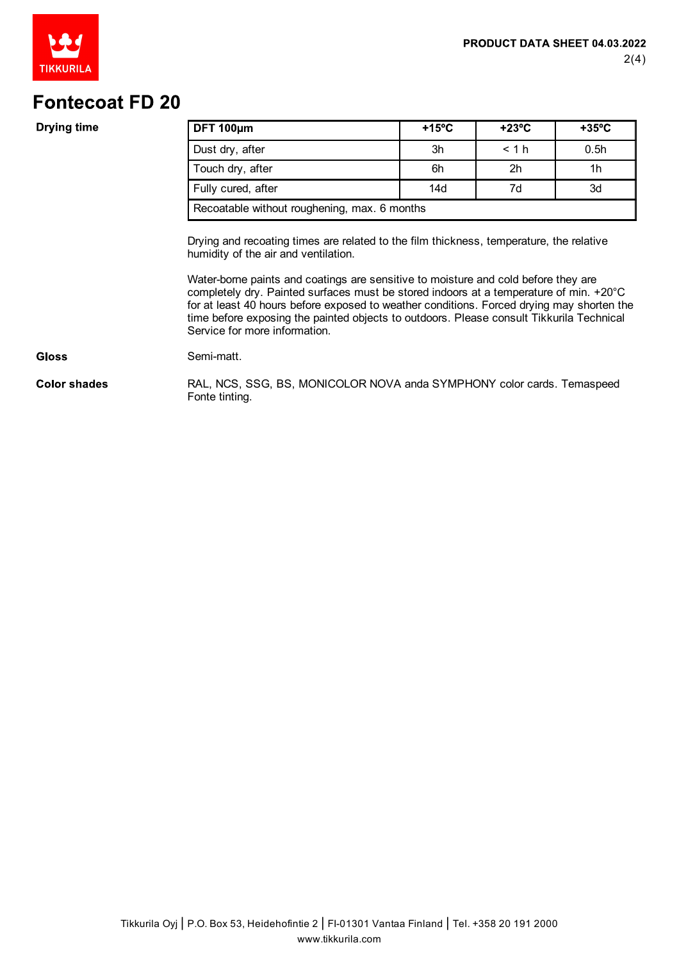

### **Drying time**

| DFT 100um                                    | $+15^{\circ}$ C | $+23^{\circ}$ C | $+35^{\circ}$ C  |
|----------------------------------------------|-----------------|-----------------|------------------|
| Dust dry, after                              | 3h              | < 1 h           | 0.5 <sub>h</sub> |
| Touch dry, after                             | 6h              | 2 <sub>h</sub>  | 1h               |
| Fully cured, after                           | 14d             | 7d              | 3d               |
| Recoatable without roughening, max. 6 months |                 |                 |                  |

Drying and recoating times are related to the film thickness, temperature, the relative humidity of the air and ventilation.

Water-borne paints and coatings are sensitive to moisture and cold before they are completely dry. Painted surfaces must be stored indoors at a temperature of min. +20°C for at least 40 hours before exposed to weather conditions. Forced drying may shorten the time before exposing the painted objects to outdoors. Please consult Tikkurila Technical Service for more information.

#### **Gloss**

**Color shades** 

Semi-matt.

RAL, NCS, SSG, BS, MONICOLOR NOVA anda SYMPHONY color cards. Temaspeed Fonte tinting.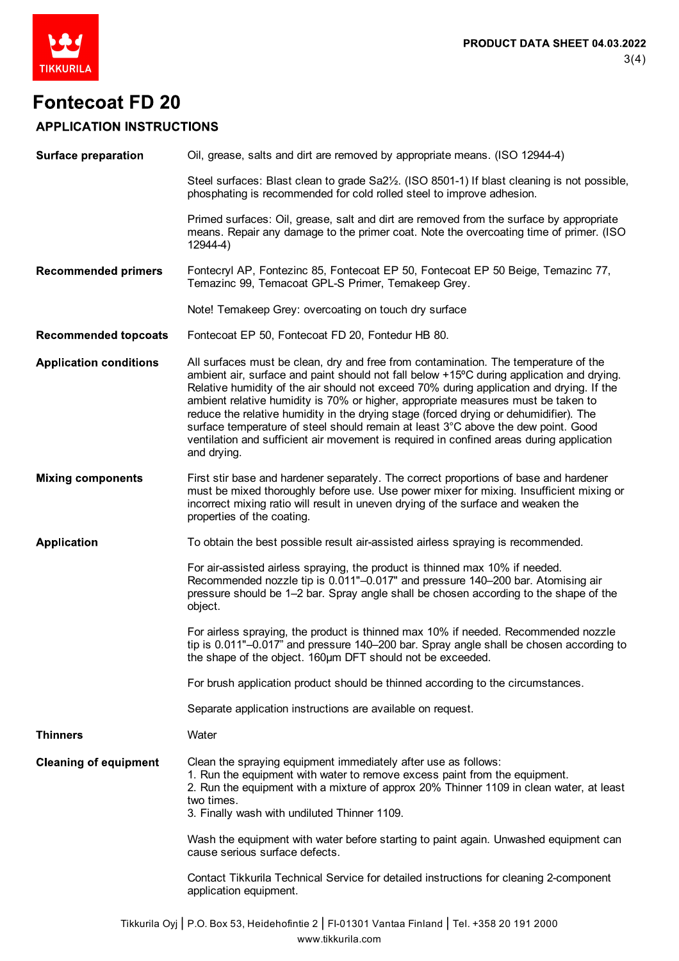

## **APPLICATION INSTRUCTIONS**

| <b>Surface preparation</b>    | Oil, grease, salts and dirt are removed by appropriate means. (ISO 12944-4)                                                                                                                                                                                                                                                                                                                                                                                                                                                                                                                                                                                |  |  |
|-------------------------------|------------------------------------------------------------------------------------------------------------------------------------------------------------------------------------------------------------------------------------------------------------------------------------------------------------------------------------------------------------------------------------------------------------------------------------------------------------------------------------------------------------------------------------------------------------------------------------------------------------------------------------------------------------|--|--|
|                               | Steel surfaces: Blast clean to grade Sa2 <sup>1</sup> / <sub>2</sub> . (ISO 8501-1) If blast cleaning is not possible,<br>phosphating is recommended for cold rolled steel to improve adhesion.                                                                                                                                                                                                                                                                                                                                                                                                                                                            |  |  |
|                               | Primed surfaces: Oil, grease, salt and dirt are removed from the surface by appropriate<br>means. Repair any damage to the primer coat. Note the overcoating time of primer. (ISO<br>12944-4)                                                                                                                                                                                                                                                                                                                                                                                                                                                              |  |  |
| <b>Recommended primers</b>    | Fontecryl AP, Fontezinc 85, Fontecoat EP 50, Fontecoat EP 50 Beige, Temazinc 77,<br>Temazinc 99, Temacoat GPL-S Primer, Temakeep Grey.                                                                                                                                                                                                                                                                                                                                                                                                                                                                                                                     |  |  |
|                               | Note! Temakeep Grey: overcoating on touch dry surface                                                                                                                                                                                                                                                                                                                                                                                                                                                                                                                                                                                                      |  |  |
| <b>Recommended topcoats</b>   | Fontecoat EP 50, Fontecoat FD 20, Fontedur HB 80.                                                                                                                                                                                                                                                                                                                                                                                                                                                                                                                                                                                                          |  |  |
| <b>Application conditions</b> | All surfaces must be clean, dry and free from contamination. The temperature of the<br>ambient air, surface and paint should not fall below +15°C during application and drying.<br>Relative humidity of the air should not exceed 70% during application and drying. If the<br>ambient relative humidity is 70% or higher, appropriate measures must be taken to<br>reduce the relative humidity in the drying stage (forced drying or dehumidifier). The<br>surface temperature of steel should remain at least 3°C above the dew point. Good<br>ventilation and sufficient air movement is required in confined areas during application<br>and drying. |  |  |
| <b>Mixing components</b>      | First stir base and hardener separately. The correct proportions of base and hardener<br>must be mixed thoroughly before use. Use power mixer for mixing. Insufficient mixing or<br>incorrect mixing ratio will result in uneven drying of the surface and weaken the<br>properties of the coating.                                                                                                                                                                                                                                                                                                                                                        |  |  |
| <b>Application</b>            | To obtain the best possible result air-assisted airless spraying is recommended.                                                                                                                                                                                                                                                                                                                                                                                                                                                                                                                                                                           |  |  |
|                               | For air-assisted airless spraying, the product is thinned max 10% if needed.<br>Recommended nozzle tip is 0.011"-0.017" and pressure 140-200 bar. Atomising air<br>pressure should be 1–2 bar. Spray angle shall be chosen according to the shape of the<br>object.                                                                                                                                                                                                                                                                                                                                                                                        |  |  |
|                               | For airless spraying, the product is thinned max 10% if needed. Recommended nozzle<br>tip is 0.011"-0.017" and pressure 140-200 bar. Spray angle shall be chosen according to<br>the shape of the object. 160um DFT should not be exceeded.                                                                                                                                                                                                                                                                                                                                                                                                                |  |  |
|                               | For brush application product should be thinned according to the circumstances.                                                                                                                                                                                                                                                                                                                                                                                                                                                                                                                                                                            |  |  |
|                               | Separate application instructions are available on request.                                                                                                                                                                                                                                                                                                                                                                                                                                                                                                                                                                                                |  |  |
| <b>Thinners</b>               | Water                                                                                                                                                                                                                                                                                                                                                                                                                                                                                                                                                                                                                                                      |  |  |
| <b>Cleaning of equipment</b>  | Clean the spraying equipment immediately after use as follows:<br>1. Run the equipment with water to remove excess paint from the equipment.<br>2. Run the equipment with a mixture of approx 20% Thinner 1109 in clean water, at least<br>two times.<br>3. Finally wash with undiluted Thinner 1109.                                                                                                                                                                                                                                                                                                                                                      |  |  |
|                               | Wash the equipment with water before starting to paint again. Unwashed equipment can<br>cause serious surface defects.                                                                                                                                                                                                                                                                                                                                                                                                                                                                                                                                     |  |  |
|                               | Contact Tikkurila Technical Service for detailed instructions for cleaning 2-component<br>application equipment.                                                                                                                                                                                                                                                                                                                                                                                                                                                                                                                                           |  |  |
|                               | Tikkurila Oyj   P.O. Box 53, Heidehofintie 2   FI-01301 Vantaa Finland   Tel. +358 20 191 2000                                                                                                                                                                                                                                                                                                                                                                                                                                                                                                                                                             |  |  |